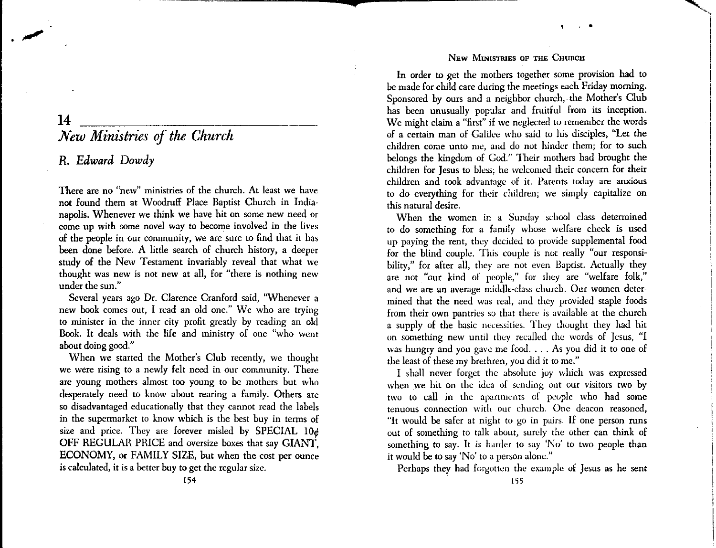# *New Ministries of the Church*

**14** 

## *R. Edward Dowdy*

There are no "new" ministries of the church. At least we have not found them at Woodruff Place Baptist Church in Indianapolis. Whenever we think we have hit on some new need or come up with some novel way to become involved in the lives of the people in our community, we are sure to find that it has been done before. A little search of church history, a deeper study of the New Testament invariably reveal that what we thought was new is not new at all, for "there is nothing new under the sun."

Several years ago Dr. Clarence Cranford said, "Whenever a new book comes out, I read an old one." We who are trying to minister in the inner city profit greatly by reading an old Book. It deals with the life and ministry of one "who went about doing good."

When we started the Mother's Club recently, we thought we were rising to a newly felt need in our community. There are young mothers almost too young to be mothers but who desperately need to know about rearing a family. Others are so disadvantaged educationally that they cannot read the labels in the supermarket to know which is the best buy in terms of size and price. They are forever misled by SPECIAL  $10<sub>d</sub>$ OFF REGULAR PRICE and oversize boxes that say GIANT, ECONOMY, or FAMILY SIZE, but when the cost per ounce is calculated, it is a better buy to get the regular size.

#### NEW MINISTRIES OF THE CHURCH

In order to get the mothers together some provision had to be made for child care during the meetings each Friday morning. Sponsored by ours and a neighbor church, the Mother's Club has been unusually popular and fruitful from its inception. We might claim a "first" if we neglected to remember the words of a certain man of Galilee who said to his disciples, "Let the children come unto me, and do not hinder them; for to such belongs the kingdum of God." Their mothers had brought the children for Jesus to bless; he welcomed their concern for their children and took advantage of it. Parents today are anxious to do everything for their children; we simply capitalize on this natural desire.

When the women in a Sunday school class determined to do something for a family whose welfare check is used up paying the rent, they decided to provide supplemental food for the blind couple. This couple is not really "our responsibility," for after all, they are not even Baptist. Actually they are not "our kind of people," for they are "welfare folk," and we are an average middle-class church. Our women determined that the need was real, and they provided staple foods from their own pantries so that there is available at the church a supply of the basic necessities. They thought they had hit on something new until they recalled the words of Jesus, "I was hungry and you gave me food.... As you did it to one of the least of these my brethren, you did it to me."

I shall never forget the absolute joy which was expressed when we hit on the idea of sending out our visitors two by two to call in the apartments of people who had some tenuous connection with our church. One deacon reasoned, "It would be safer at night to go in pairs. If one person runs out of something to talk about, surely the other can think of something to say. It *is* harder to say 'No' to two people than it would be to say 'No' to a person alone."

Perhaps they had forgotten the example of Jesus as he sent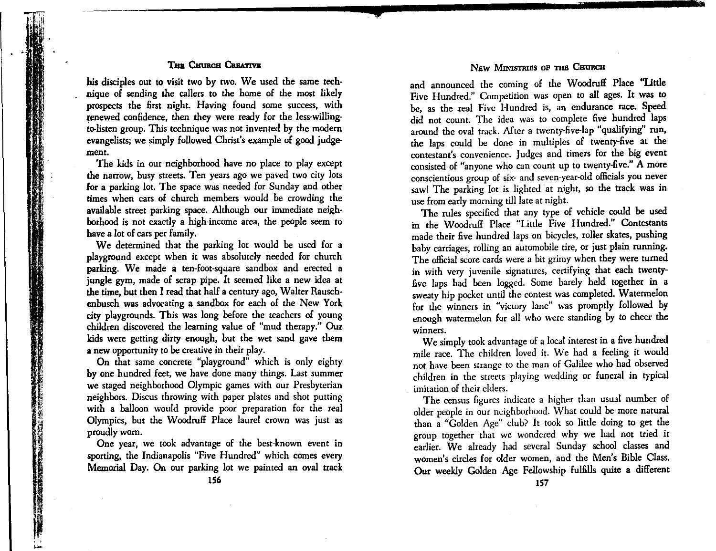#### THE CHURCH CREATIVE

his disciples out to visit two by two. We used the same technique of sending the callers to the home of the most likely prospects the first night. Having found some success, with renewed confidence, then they were ready for the less-willingto-listen group. This technique was not invented by the modem evangelists; we simply followed Christ's example of good judgement.

The kids in our neighborhood have no place to play except the narrow, busy streets. Ten years ago we paved two city lots for a parking lot. The space was needed for Sunday and other times when cars of church members would be crowding the available street parking space. Although our immediate neighborhood is not exactly a high-income area, the people seem to have a lot of cars per family.

We determined that the parking lot would be used for a playground except when it was absolutely needed for church parking. We made a ten-foot-square sandbox and erected a jungle gym, made of scrap pipe. It seemed like a new idea at the time, but then I read that half a century ago, Walter Rauschenbusch was advocating a sandbox for each of the New York city playgrounds. This was long before the teachers of young children discovered the learning value of "mud therapy." Our kids were getting dirty enough, but the wet sand gave them a new opportunity to be creative in their play.

On that same concrete "playground" which is only eighty by one hundred feet, we have done many things. Last summer we staged neighborhood Olympic games with our Presbyterian neighbors. Discus throwing with paper plates and shot putting with a balloon would provide poor preparation for the real Olympics, but the Woodruff Place laurel crown was just as proudly worn.

One year, we took advantage of the best-known event in sporting, the Indianapolis "Five Hundred" which comes every Memorial Day. On our parking lot we painted an oval track

#### NEW MINISTRIES OF THE CEURCH

and announced the coming of the Woodruff Place "Little Five Hundred." Competition was open to all ages. It was to be, as the real Five Hundred is, an endurance race. Speed did not count. The idea was to complete five hundred laps around the oval track. After a twenty-five-lap "qualifying" run, the laps could be done in multiples of twenty-five at the contestant's convenience. Judges and timers for the big event consisted of "anyone who can count up to twenty-five." A more conscientious group of six- and seven-year-old officials you never saw! The parking lot is lighted at night, so the track was in use from early morning till late at night.

The rules specified that any type of vehicle could be used in the Woodruff Place "Little Five Hundred." Contestants made their five hundred laps on bicycles, roller skates, pushing baby carriages, rolling an automobile tire, or just plain running. The official score cards were a bit grimy when they were turned in with very juvenile signatures, certifying that each twentyfive laps had been logged. Some barely held together in a sweaty hip pocket until the contest was completed. Watermelon for the winners in "victory lane" was promptly followed by enough watermelon for all who were standing by to cheer the **winners.** 

We simply took advantage of a local interest in a five hundred mile race. The children loved it. We had a feeling it would not have been strange to the man of Galilee who had observed children in the streets playing wedding or funeral in typical imitation of their elders.

The census figures indicate a higher than usual number of older people in our neighborhood. What could be more natural than a "Golden Age" club? It took so little doing to get the group together that we wondered why we had not tried it earlier. We already had several Sunday school classes and women's circles for older women, and the Men's Bible Class. Our weekly Golden Age Fellowship fulfills quite a different

157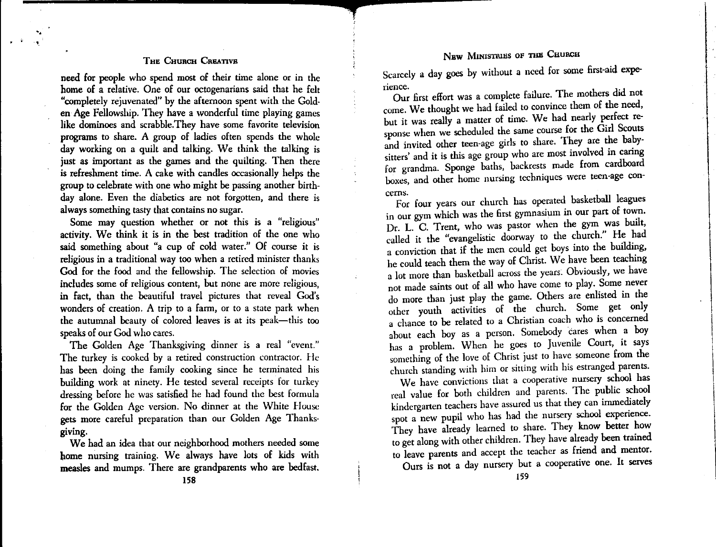#### THE CHURCH CREATIVE

need for people who spend most of their time alone or in the home of a relative. One of our octogenarians said that he felt "completely rejuvenated" by the afternoon spent with the Golden Age Fellowship. They have a wonderful time playing games like dominoes and scrabble. They have some favorite television programs to share. A group of ladies often spends the whole day working on a quilt and talking. We think the talking is just as important as the games and the quilting. Then there is refreshment time. A cake with candles occasionally helps the group to celebrate with one who might be passing another birthday alone. Even the diabetics are not forgotten, and there is always something tasty that contains no sugar.

Some may question whether or not this is a "religious" activity. We think it is in the best tradition of the one who said something about "a cup of cold water." Of course it is religious in a traditional way too when a retired minister thanks God for the food and the fellowship. The selection of movies includes some of religious content, but none are more religious, in fact, than the beautiful travel pictures that reveal God's wonders of creation. A trip to a farm, or to a state park when the autumnal beauty of colored leaves is at its peak-this too speaks of our God who cares.

The Golden Age Thanksgiving dinner is a real "event." The turkey is cooked by a retired construction contractor. He has been doing the family cooking since he terminated his building work at ninety. He tested several receipts for turkey dressing before he was satisfied he had found the best formula for the Golden Age version. No dinner at the White House gets more careful preparation than our Golden Age Thanks**giving.** 

We had an idea that our neighborhood mothers needed some home nursing training. We always have lots of kids with measles and mumps. There are grandparents who are bedfast.

## NEW MINISTRIES OF THE CHURCH

Scarcely a day goes by without a need for some first-aid expe**rience.** 

Our first effort was a complete failure. The mothers did not come. We thought we had failed to convince them of the need, but it was really a matter of time. We had nearly perfect response when we scheduled the same course for the Girl Scouts and invited other teen-age girls to share. They are the babysitters' and it is this age group who are most involved in caring for grandma. Sponge baths, backrests made from cardboard boxes, and other home nursing techniques were teen-age con**cerns.** 

For four years our church has operated basketball leagues in our gym which was the first gymnasium in our part of town. Dr. L. C. Trent, who was pastor when the gym was built, called it the "evangelistic doorway to the church." He had a conviction that if the men could get boys into the building, he could teach them the way of Christ. We have been teaching a lot more than basketball across the years. Obviously, we have not made saints out of all who have come to play. Some never do more than just play the game. Others are enlisted in the other youth activities of the church. Some get only a chance to be related to a Christian coach who is concerned about each boy as a person. Somebody cares when a boy has a problem. When he goes to Juvenile Court, it says something of the love of Christ just to have someone from the church standing with him or sitting with his estranged parents.

We have convictions that a cooperative nursery school has real value for both children and parents. The public school kindergarten teachers have assured us that they can immediately spot a new pupil who has had the nursery school experience. They have already learned to share. They know better how to get along with other children. They have already been trained to leave parents and accept the teacher as friend and mentor. Ours is not a day nursery but a cooperative one. It serves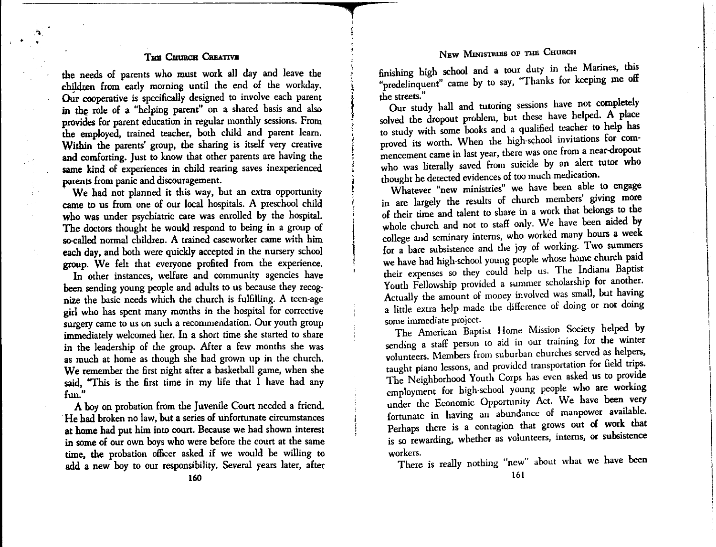## NEW MINISTRIES OF THE CHURCH

#### **THE CHURCH CREATIVE**

 $\mathbf{r}$ 

 $\begin{pmatrix} 1 \\ 0 \\ 0 \\ 0 \end{pmatrix}$ 

 $\mathcal{A}^{\mathcal{A}}$ 

the needs of parents who must work all day and leave the children from early morning until the end of the workday. Our cooperative is specifically designed to involve each parent in the role of a "helping parent" on a shared basis and also provides for parent education in regular monthly sessions. From the employed, trained teacher, both child and parent learn. Within the parents' group, the sharing is itself very creative and comforting. Just to know that other parents are having the same kind of experiences in child rearing saves inexperienced parents from panic and discouragement.

We had not planned it this way, but an extra opportunity came to us from one of our local hospitals. A preschool child who was under psychiatric care was enrolled by the hospital. The doctors thought he would respond to being in a group of so-called normal children. A trained caseworker came with him each day, and both were quickly accepted in the nursery school group. We felt that everyone profited from the experience.

In other instances, welfare and community agencies have **been** sending young people and adults to us because they recognize the basic needs which the church is fulfilling. A teen-age girl who has spent many months in the hospital for corrective surgery came to us on such a recommendation. Our youth group immediately welcomed her. In a short time she started to share in the leadership of the group. After a few months she was as much at home as though she had grown up in the church. **We** remember the first night after a basketball game, when she said, "This is the first time in my life that I have had any fun."

**A** boy on probation from the Juvenile Court needed a friend. He had broken no law, but a series of unfortunate circumstances at home had put him into court. Because we had shown interest in some of our own boys who were before the court at the same time, the probation officer asked if we would be willing to add a new boy to our responsibility. Several years later, after

finishing high school and a tour duty in the Marines, this "predelinquent" came by to say, "Thanks for keeping me off the streets."

Our study hall and tutoring sessions have not completely solved the dropout problem, but these have helped. A place to study with some books and a qualified teacher to help has proved its worth. When the high-school invitations for commencement came in last year, there was one from a near-dropout who was literally saved from suicide by an alert tutor who thought he detected evidences of too much medication.

Whatever "new ministries" we have been able to engage in are largely the results of church members' giving more of their time and talent to share in a work that belongs to the whole church and not to staff only. We have been aided **by**  college and seminary interns, who worked many hours a week for a bare subsistence and the joy of working. Two summers we have had high-school young people whose home church paid their expenses so they could help us. The Indiana Baptist Youth Fellowship provided a summer scholarship for another. Actually the amount of money involved was small, but having a little extra help made the difference of doing or not doing some immediate project.

The American Baptist Home Mission Society helped by sending a staff person to aid in our training for the winter volunteers. Members from suburban churches served as helpers, taught piano lessons, and provided transportation for field trips. The Neighborhood Youth Corps has even asked us to provide employment for high-school young people who are working under the Economic Opportunity Act. We have been very fortunate in having an abundance of manpower available. Perhaps there is a contagion that grows out of work that is so rewarding, whether as volunteers, interns, or subsistence workers.

There is really nothing "new" about what we have been